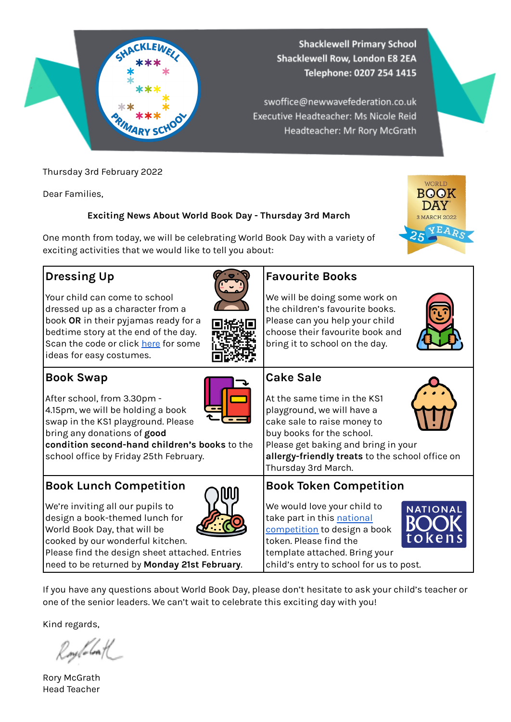

Thursday 3rd February 2022

Dear Families,

#### **Exciting News About World Book Day - Thursday 3rd March**

One month from today, we will be celebrating World Book Day with a variety of exciting activities that we would like to tell you about:

#### **Dressing Up**

Your child can come to school dressed up as a character from a book **OR** in their pyjamas ready for a bedtime story at the end of the day. Scan the code or click [here](https://www.worldbookday.com/dressing-up-ideas/) for some ideas for easy costumes.





#### **Book Swap**

After school, from 3.30pm - 4.15pm, we will be holding a book swap in the KS1 playground. Please



bring any donations of **good condition second-hand children's books** to the school office by Friday 25th February.

#### **Book Lunch Competition**

We're inviting all our pupils to design a book-themed lunch for World Book Day, that will be



cooked by our wonderful kitchen. Please find the design sheet attached. Entries

need to be returned by **Monday 21st February**.

### **Favourite Books**

We will be doing some work on the children's favourite books. Please can you help your child choose their favourite book and bring it to school on the day.



WORLD **BOOK DAY** 3 MARCH 2022

#### **Cake Sale**

At the same time in the KS1 playground, we will have a cake sale to raise money to buy books for the school. Please get baking and bring in your



Thursday 3rd March.

**allergy-friendly treats** to the school office on

**Book Token Competition**

We would love your child to take part in this [national](https://www.worldbookday.com/competitions/design-a-national-book-token-competition-2022/) [competition](https://www.worldbookday.com/competitions/design-a-national-book-token-competition-2022/) to design a book token. Please find the template attached. Bring your child's entry to school for us to post.



If you have any questions about World Book Day, please don't hesitate to ask your child's teacher or one of the senior leaders. We can't wait to celebrate this exciting day with you!

Kind regards,

Roylobal

Rory McGrath Head Teacher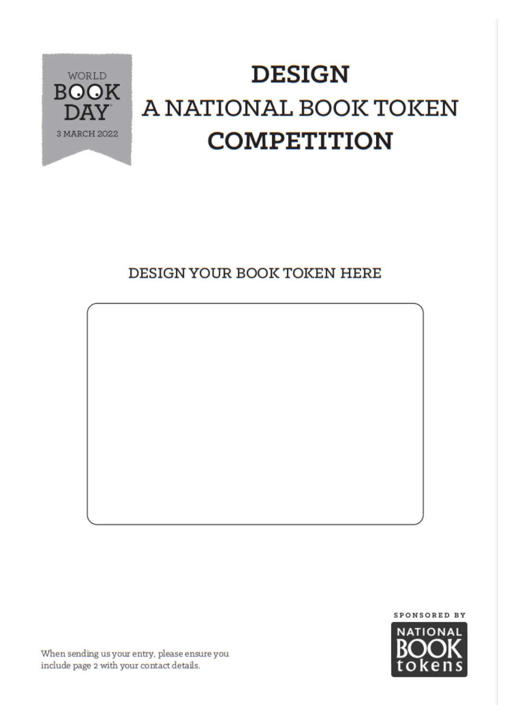

## **DESIGN** A NATIONAL BOOK TOKEN **COMPETITION**

#### DESIGN YOUR BOOK TOKEN HERE





When sending us your entry, please ensure you include page 2 with your contact details.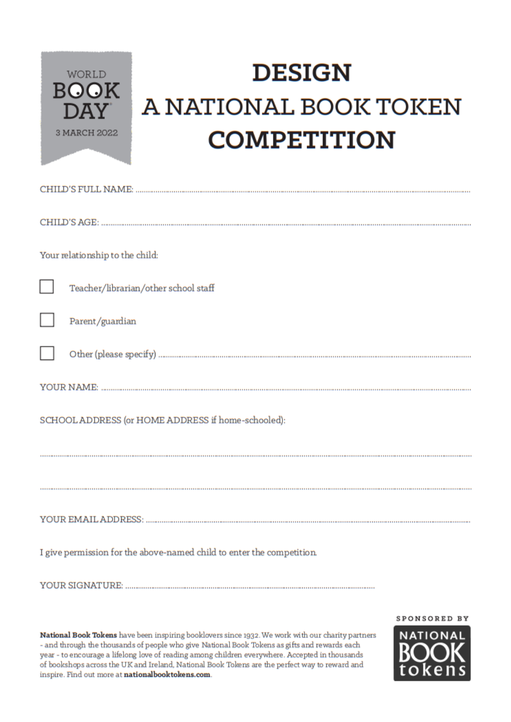

## **DESIGN** A NATIONAL BOOK TOKEN **COMPETITION**

| Your relationship to the child:                                       |
|-----------------------------------------------------------------------|
| L<br>Teacher/librarian/other school staff                             |
| Parent/guardian                                                       |
|                                                                       |
|                                                                       |
| SCHOOL ADDRESS (or HOME ADDRESS if home-schooled):                    |
|                                                                       |
|                                                                       |
|                                                                       |
| I give permission for the above-named child to enter the competition. |
|                                                                       |

National Book Tokens have been inspiring booklovers since 1932. We work with our charity partners - and through the thousands of people who give National Book Tokens as gifts and rewards each year - to encourage a lifelong love of reading among children everywhere. Accepted in thousands of bookshops across the UK and Ireland, National Book Tokens are the perfect way to reward and inspire. Find out more at nationalbooktokens.com.

SPONSORED BY